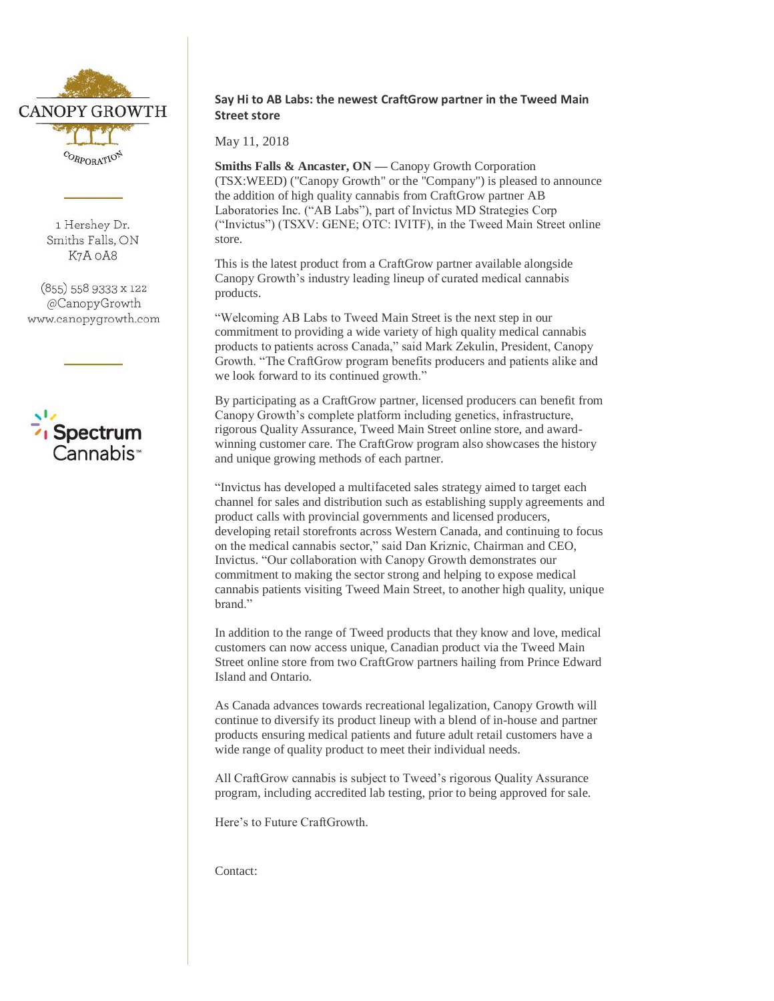

1 Hershey Dr. Smiths Falls, ON K7A OA8

(855) 558 9333 x 122 @CanopyGrowth www.canopygrowth.com



# **Say Hi to AB Labs: the newest CraftGrow partner in the Tweed Main Street store**

May 11, 2018

**Smiths Falls & Ancaster, ON — Canopy Growth Corporation** (TSX:WEED) ("Canopy Growth" or the "Company") is pleased to announce the addition of high quality cannabis from CraftGrow partner AB Laboratories Inc. ("AB Labs"), part of Invictus MD Strategies Corp ("Invictus") (TSXV: GENE; OTC: IVITF), in the Tweed Main Street online store.

This is the latest product from a CraftGrow partner available alongside Canopy Growth's industry leading lineup of curated medical cannabis products.

"Welcoming AB Labs to Tweed Main Street is the next step in our commitment to providing a wide variety of high quality medical cannabis products to patients across Canada," said Mark Zekulin, President, Canopy Growth. "The CraftGrow program benefits producers and patients alike and we look forward to its continued growth."

By participating as a CraftGrow partner, licensed producers can benefit from Canopy Growth's complete platform including genetics, infrastructure, rigorous Quality Assurance, Tweed Main Street online store, and awardwinning customer care. The CraftGrow program also showcases the history and unique growing methods of each partner.

"Invictus has developed a multifaceted sales strategy aimed to target each channel for sales and distribution such as establishing supply agreements and product calls with provincial governments and licensed producers, developing retail storefronts across Western Canada, and continuing to focus on the medical cannabis sector," said Dan Kriznic, Chairman and CEO, Invictus. "Our collaboration with Canopy Growth demonstrates our commitment to making the sector strong and helping to expose medical cannabis patients visiting Tweed Main Street, to another high quality, unique brand."

In addition to the range of Tweed products that they know and love, medical customers can now access unique, Canadian product via the Tweed Main Street online store from two CraftGrow partners hailing from Prince Edward Island and Ontario.

As Canada advances towards recreational legalization, Canopy Growth will continue to diversify its product lineup with a blend of in-house and partner products ensuring medical patients and future adult retail customers have a wide range of quality product to meet their individual needs.

All CraftGrow cannabis is subject to Tweed's rigorous Quality Assurance program, including accredited lab testing, prior to being approved for sale.

Here's to Future CraftGrowth.

Contact: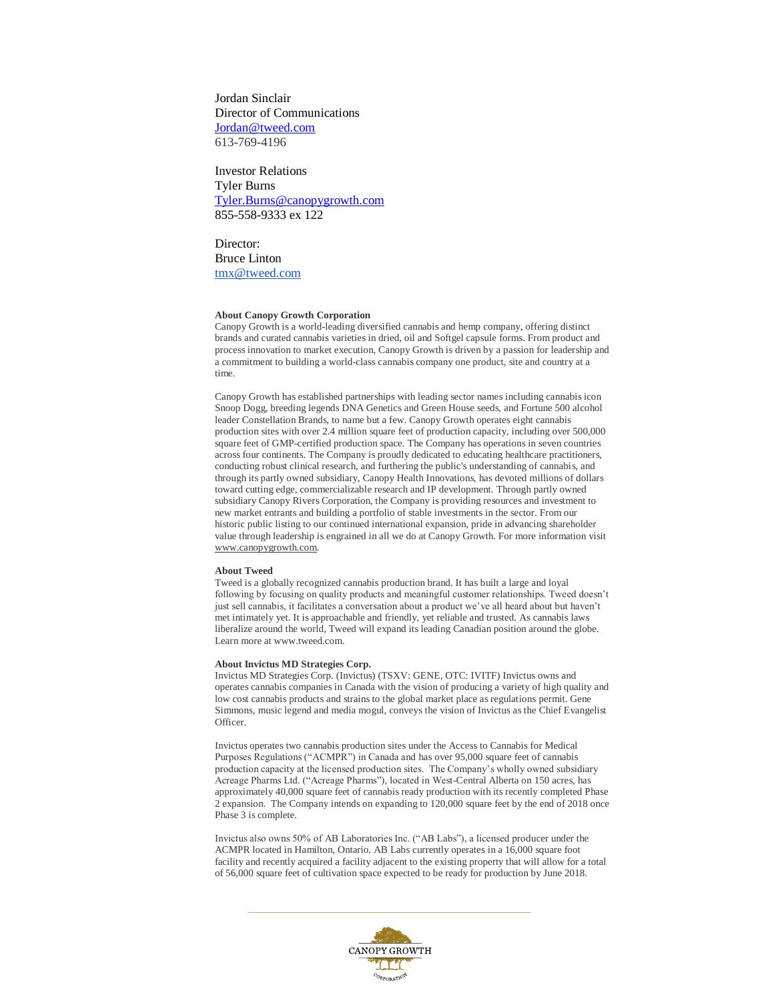Jordan Sinclair Director of Communications [Jordan@tweed.com](mailto:Jordan@tweed.com) 613-769-4196

Investor Relations Tyler Burns [Tyler.Burns@canopygrowth.com](mailto:Tyler.Burns@canopygrowth.com) 855-558-9333 ex 122

Director: Bruce Linton [tmx@tweed.com](mailto:tmx@tweed.com)

### **About Canopy Growth Corporation**

Canopy Growth is a world-leading diversified cannabis and hemp company, offering distinct brands and curated cannabis varieties in dried, oil and Softgel capsule forms. From product and process innovation to market execution, Canopy Growth is driven by a passion for leadership and a commitment to building a world-class cannabis company one product, site and country at a time.

Canopy Growth has established partnerships with leading sector names including cannabis icon Snoop Dogg, breeding legends DNA Genetics and Green House seeds, and Fortune 500 alcohol leader Constellation Brands, to name but a few. Canopy Growth operates eight cannabis production sites with over 2.4 million square feet of production capacity, including over 500,000 square feet of GMP-certified production space. The Company has operations in seven countries across four continents. The Company is proudly dedicated to educating healthcare practitioners, conducting robust clinical research, and furthering the public's understanding of cannabis, and through its partly owned subsidiary, Canopy Health Innovations, has devoted millions of dollars toward cutting edge, commercializable research and IP development. Through partly owned subsidiary Canopy Rivers Corporation, the Company is providing resources and investment to new market entrants and building a portfolio of stable investments in the sector. From our historic public listing to our continued international expansion, pride in advancing shareholder value through leadership is engrained in all we do at Canopy Growth. For more information visi[t](http://www.canopygrowth.com/) [www.canopygrowth.com.](http://www.canopygrowth.com/) 

#### **About Tweed**

Tweed is a globally recognized cannabis production brand. It has built a large and loyal following by focusing on quality products and meaningful customer relationships. Tweed doesn't just sell cannabis, it facilitates a conversation about a product we've all heard about but haven't met intimately yet. It is approachable and friendly, yet reliable and trusted. As cannabis laws liberalize around the world, Tweed will expand its leading Canadian position around the globe. Learn more at [www.tweed.com.](http://www.tweed.com/)

#### **About Invictus MD Strategies Corp.**

Invictus MD Strategies Corp. (Invictus) (TSXV: GENE, OTC: IVITF) Invictus owns and operates cannabis companies in Canada with the vision of producing a variety of high quality and low cost cannabis products and strains to the global market place as regulations permit. Gene Simmons, music legend and media mogul, conveys the vision of Invictus as the Chief Evangelist Officer.

Invictus operates two cannabis production sites under the Access to Cannabis for Medical Purposes Regulations ("ACMPR") in Canada and has over 95,000 square feet of cannabis production capacity at the licensed production sites. The Company's wholly owned subsidiary Acreage Pharms Ltd. ("Acreage Pharms"), located in West-Central Alberta on 150 acres, has approximately 40,000 square feet of cannabis ready production with its recently completed Phase 2 expansion. The Company intends on expanding to 120,000 square feet by the end of 2018 once Phase 3 is complete.

Invictus also owns 50% of AB Laboratories Inc. ("AB Labs"), a licensed producer under the ACMPR located in Hamilton, Ontario. AB Labs currently operates in a 16,000 square foot facility and recently acquired a facility adjacent to the existing property that will allow for a total of 56,000 square feet of cultivation space expected to be ready for production by June 2018.